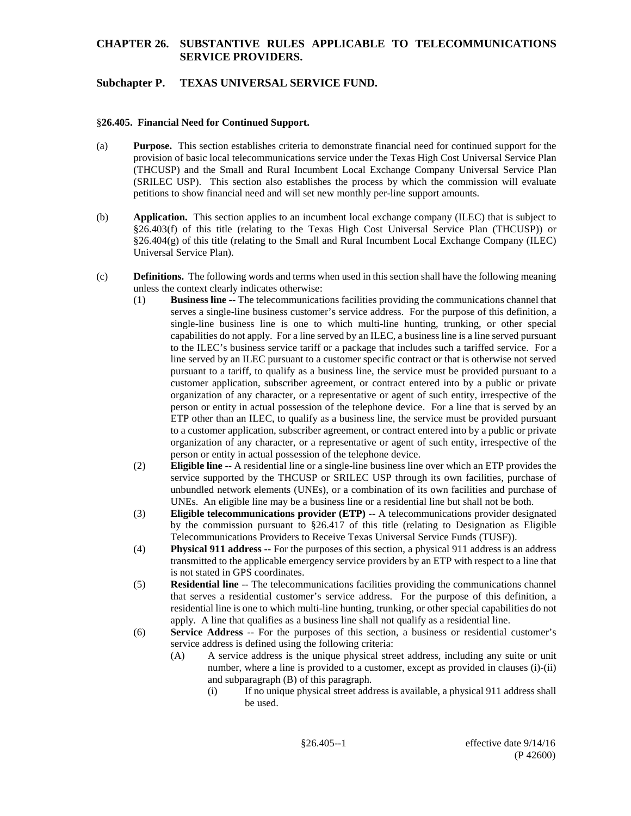# **Subchapter P. TEXAS UNIVERSAL SERVICE FUND.**

#### §**26.405. Financial Need for Continued Support.**

- (a) **Purpose.** This section establishes criteria to demonstrate financial need for continued support for the provision of basic local telecommunications service under the Texas High Cost Universal Service Plan (THCUSP) and the Small and Rural Incumbent Local Exchange Company Universal Service Plan (SRILEC USP). This section also establishes the process by which the commission will evaluate petitions to show financial need and will set new monthly per-line support amounts.
- (b) **Application.** This section applies to an incumbent local exchange company (ILEC) that is subject to §26.403(f) of this title (relating to the Texas High Cost Universal Service Plan (THCUSP)) or  $§26.404(g)$  of this title (relating to the Small and Rural Incumbent Local Exchange Company (ILEC) Universal Service Plan).
- (c) **Definitions.** The following words and terms when used in this section shall have the following meaning unless the context clearly indicates otherwise:
	- (1) **Business line** -- The telecommunications facilities providing the communications channel that serves a single-line business customer's service address. For the purpose of this definition, a single-line business line is one to which multi-line hunting, trunking, or other special capabilities do not apply. For a line served by an ILEC, a business line is a line served pursuant to the ILEC's business service tariff or a package that includes such a tariffed service. For a line served by an ILEC pursuant to a customer specific contract or that is otherwise not served pursuant to a tariff, to qualify as a business line, the service must be provided pursuant to a customer application, subscriber agreement, or contract entered into by a public or private organization of any character, or a representative or agent of such entity, irrespective of the person or entity in actual possession of the telephone device. For a line that is served by an ETP other than an ILEC, to qualify as a business line, the service must be provided pursuant to a customer application, subscriber agreement, or contract entered into by a public or private organization of any character, or a representative or agent of such entity, irrespective of the person or entity in actual possession of the telephone device.
	- (2) **Eligible line** -- A residential line or a single-line business line over which an ETP provides the service supported by the THCUSP or SRILEC USP through its own facilities, purchase of unbundled network elements (UNEs), or a combination of its own facilities and purchase of UNEs. An eligible line may be a business line or a residential line but shall not be both.
	- (3) **Eligible telecommunications provider (ETP)** -- A telecommunications provider designated by the commission pursuant to §26.417 of this title (relating to Designation as Eligible Telecommunications Providers to Receive Texas Universal Service Funds (TUSF)).
	- (4) **Physical 911 address --** For the purposes of this section, a physical 911 address is an address transmitted to the applicable emergency service providers by an ETP with respect to a line that is not stated in GPS coordinates.
	- (5) **Residential line** -- The telecommunications facilities providing the communications channel that serves a residential customer's service address. For the purpose of this definition, a residential line is one to which multi-line hunting, trunking, or other special capabilities do not apply. A line that qualifies as a business line shall not qualify as a residential line.
	- (6) **Service Address** -- For the purposes of this section, a business or residential customer's service address is defined using the following criteria:
		- (A) A service address is the unique physical street address, including any suite or unit number, where a line is provided to a customer, except as provided in clauses (i)-(ii) and subparagraph (B) of this paragraph.
			- (i) If no unique physical street address is available, a physical 911 address shall be used.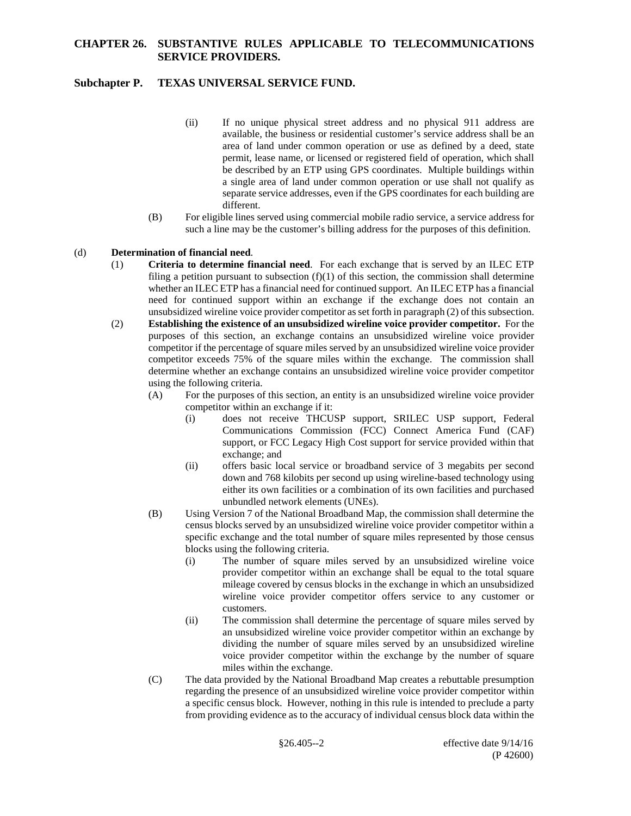# **Subchapter P. TEXAS UNIVERSAL SERVICE FUND.**

- (ii) If no unique physical street address and no physical 911 address are available, the business or residential customer's service address shall be an area of land under common operation or use as defined by a deed, state permit, lease name, or licensed or registered field of operation, which shall be described by an ETP using GPS coordinates. Multiple buildings within a single area of land under common operation or use shall not qualify as separate service addresses, even if the GPS coordinates for each building are different.
- (B) For eligible lines served using commercial mobile radio service, a service address for such a line may be the customer's billing address for the purposes of this definition.

#### (d) **Determination of financial need**.

- (1) **Criteria to determine financial need**. For each exchange that is served by an ILEC ETP filing a petition pursuant to subsection  $(f)(1)$  of this section, the commission shall determine whether an ILEC ETP has a financial need for continued support. An ILEC ETP has a financial need for continued support within an exchange if the exchange does not contain an unsubsidized wireline voice provider competitor as set forth in paragraph (2) of this subsection.
- (2) **Establishing the existence of an unsubsidized wireline voice provider competitor.** For the purposes of this section, an exchange contains an unsubsidized wireline voice provider competitor if the percentage of square miles served by an unsubsidized wireline voice provider competitor exceeds 75% of the square miles within the exchange. The commission shall determine whether an exchange contains an unsubsidized wireline voice provider competitor using the following criteria.
	- (A) For the purposes of this section, an entity is an unsubsidized wireline voice provider competitor within an exchange if it:
		- (i) does not receive THCUSP support, SRILEC USP support, Federal Communications Commission (FCC) Connect America Fund (CAF) support, or FCC Legacy High Cost support for service provided within that exchange; and
		- (ii) offers basic local service or broadband service of 3 megabits per second down and 768 kilobits per second up using wireline-based technology using either its own facilities or a combination of its own facilities and purchased unbundled network elements (UNEs).
	- (B) Using Version 7 of the National Broadband Map, the commission shall determine the census blocks served by an unsubsidized wireline voice provider competitor within a specific exchange and the total number of square miles represented by those census blocks using the following criteria.
		- (i) The number of square miles served by an unsubsidized wireline voice provider competitor within an exchange shall be equal to the total square mileage covered by census blocks in the exchange in which an unsubsidized wireline voice provider competitor offers service to any customer or customers.
		- (ii) The commission shall determine the percentage of square miles served by an unsubsidized wireline voice provider competitor within an exchange by dividing the number of square miles served by an unsubsidized wireline voice provider competitor within the exchange by the number of square miles within the exchange.
	- (C) The data provided by the National Broadband Map creates a rebuttable presumption regarding the presence of an unsubsidized wireline voice provider competitor within a specific census block. However, nothing in this rule is intended to preclude a party from providing evidence as to the accuracy of individual census block data within the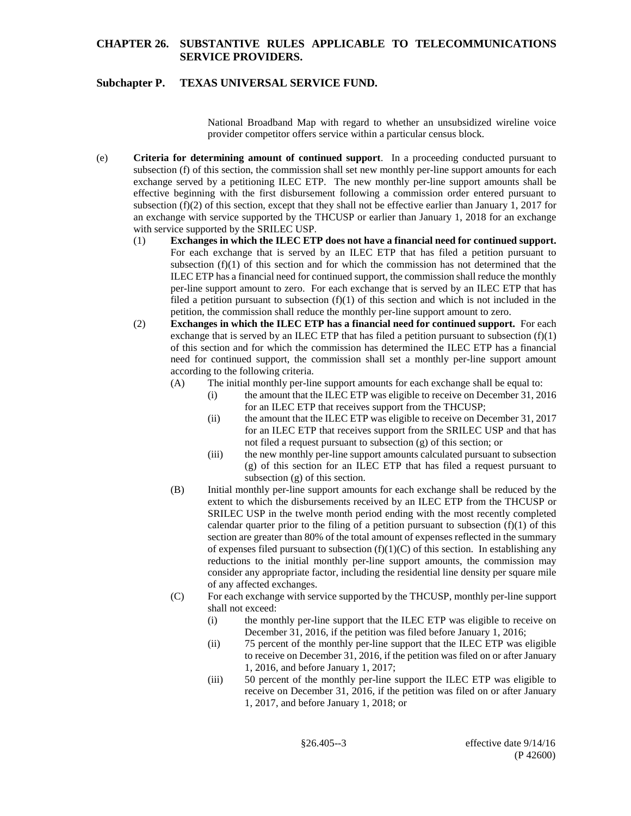# **Subchapter P. TEXAS UNIVERSAL SERVICE FUND.**

National Broadband Map with regard to whether an unsubsidized wireline voice provider competitor offers service within a particular census block.

- (e) **Criteria for determining amount of continued support**. In a proceeding conducted pursuant to subsection (f) of this section, the commission shall set new monthly per-line support amounts for each exchange served by a petitioning ILEC ETP. The new monthly per-line support amounts shall be effective beginning with the first disbursement following a commission order entered pursuant to subsection (f)(2) of this section, except that they shall not be effective earlier than January 1, 2017 for an exchange with service supported by the THCUSP or earlier than January 1, 2018 for an exchange with service supported by the SRILEC USP.
	- (1) **Exchanges in which the ILEC ETP does not have a financial need for continued support.**  For each exchange that is served by an ILEC ETP that has filed a petition pursuant to subsection  $(f)(1)$  of this section and for which the commission has not determined that the ILEC ETP has a financial need for continued support, the commission shall reduce the monthly per-line support amount to zero. For each exchange that is served by an ILEC ETP that has filed a petition pursuant to subsection  $(f)(1)$  of this section and which is not included in the petition, the commission shall reduce the monthly per-line support amount to zero.
	- (2) **Exchanges in which the ILEC ETP has a financial need for continued support.** For each exchange that is served by an ILEC ETP that has filed a petition pursuant to subsection  $(f)(1)$ of this section and for which the commission has determined the ILEC ETP has a financial need for continued support, the commission shall set a monthly per-line support amount according to the following criteria.
		- (A) The initial monthly per-line support amounts for each exchange shall be equal to:
			- (i) the amount that the ILEC ETP was eligible to receive on December 31, 2016 for an ILEC ETP that receives support from the THCUSP;
			- (ii) the amount that the ILEC ETP was eligible to receive on December 31, 2017 for an ILEC ETP that receives support from the SRILEC USP and that has not filed a request pursuant to subsection (g) of this section; or
			- (iii) the new monthly per-line support amounts calculated pursuant to subsection (g) of this section for an ILEC ETP that has filed a request pursuant to subsection (g) of this section.
		- (B) Initial monthly per-line support amounts for each exchange shall be reduced by the extent to which the disbursements received by an ILEC ETP from the THCUSP or SRILEC USP in the twelve month period ending with the most recently completed calendar quarter prior to the filing of a petition pursuant to subsection  $(f)(1)$  of this section are greater than 80% of the total amount of expenses reflected in the summary of expenses filed pursuant to subsection  $(f)(1)(C)$  of this section. In establishing any reductions to the initial monthly per-line support amounts, the commission may consider any appropriate factor, including the residential line density per square mile of any affected exchanges.
		- (C) For each exchange with service supported by the THCUSP, monthly per-line support shall not exceed:
			- (i) the monthly per-line support that the ILEC ETP was eligible to receive on December 31, 2016, if the petition was filed before January 1, 2016;
			- (ii) 75 percent of the monthly per-line support that the ILEC ETP was eligible to receive on December 31, 2016, if the petition was filed on or after January 1, 2016, and before January 1, 2017;
			- (iii) 50 percent of the monthly per-line support the ILEC ETP was eligible to receive on December 31, 2016, if the petition was filed on or after January 1, 2017, and before January 1, 2018; or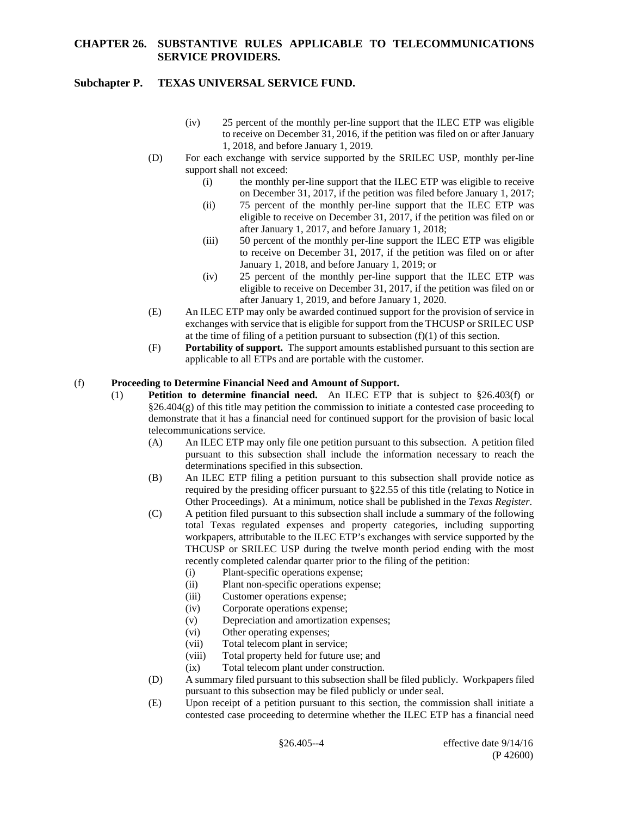## **Subchapter P. TEXAS UNIVERSAL SERVICE FUND.**

- (iv) 25 percent of the monthly per-line support that the ILEC ETP was eligible to receive on December 31, 2016, if the petition was filed on or after January 1, 2018, and before January 1, 2019.
- (D) For each exchange with service supported by the SRILEC USP, monthly per-line support shall not exceed:
	- (i) the monthly per-line support that the ILEC ETP was eligible to receive on December 31, 2017, if the petition was filed before January 1, 2017;
	- (ii) 75 percent of the monthly per-line support that the ILEC ETP was eligible to receive on December 31, 2017, if the petition was filed on or after January 1, 2017, and before January 1, 2018;
	- (iii) 50 percent of the monthly per-line support the ILEC ETP was eligible to receive on December 31, 2017, if the petition was filed on or after January 1, 2018, and before January 1, 2019; or
	- (iv) 25 percent of the monthly per-line support that the ILEC ETP was eligible to receive on December 31, 2017, if the petition was filed on or after January 1, 2019, and before January 1, 2020.
- (E) An ILEC ETP may only be awarded continued support for the provision of service in exchanges with service that is eligible for support from the THCUSP or SRILEC USP at the time of filing of a petition pursuant to subsection  $(f)(1)$  of this section.
- (F) **Portability of support.** The support amounts established pursuant to this section are applicable to all ETPs and are portable with the customer.

#### (f) **Proceeding to Determine Financial Need and Amount of Support.**

- (1) **Petition to determine financial need.** An ILEC ETP that is subject to §26.403(f) or §26.404(g) of this title may petition the commission to initiate a contested case proceeding to demonstrate that it has a financial need for continued support for the provision of basic local telecommunications service.
	- (A) An ILEC ETP may only file one petition pursuant to this subsection. A petition filed pursuant to this subsection shall include the information necessary to reach the determinations specified in this subsection.
	- (B) An ILEC ETP filing a petition pursuant to this subsection shall provide notice as required by the presiding officer pursuant to §22.55 of this title (relating to Notice in Other Proceedings). At a minimum, notice shall be published in the *Texas Register*.
	- (C) A petition filed pursuant to this subsection shall include a summary of the following total Texas regulated expenses and property categories, including supporting workpapers, attributable to the ILEC ETP's exchanges with service supported by the THCUSP or SRILEC USP during the twelve month period ending with the most recently completed calendar quarter prior to the filing of the petition:
		- (i) Plant-specific operations expense;
		- (ii) Plant non-specific operations expense;
		- (iii) Customer operations expense;
		- (iv) Corporate operations expense;
		- (v) Depreciation and amortization expenses;
		- (vi) Other operating expenses;
		- (vii) Total telecom plant in service;
		- (viii) Total property held for future use; and
		- (ix) Total telecom plant under construction.
	- (D) A summary filed pursuant to this subsection shall be filed publicly. Workpapers filed pursuant to this subsection may be filed publicly or under seal.
	- (E) Upon receipt of a petition pursuant to this section, the commission shall initiate a contested case proceeding to determine whether the ILEC ETP has a financial need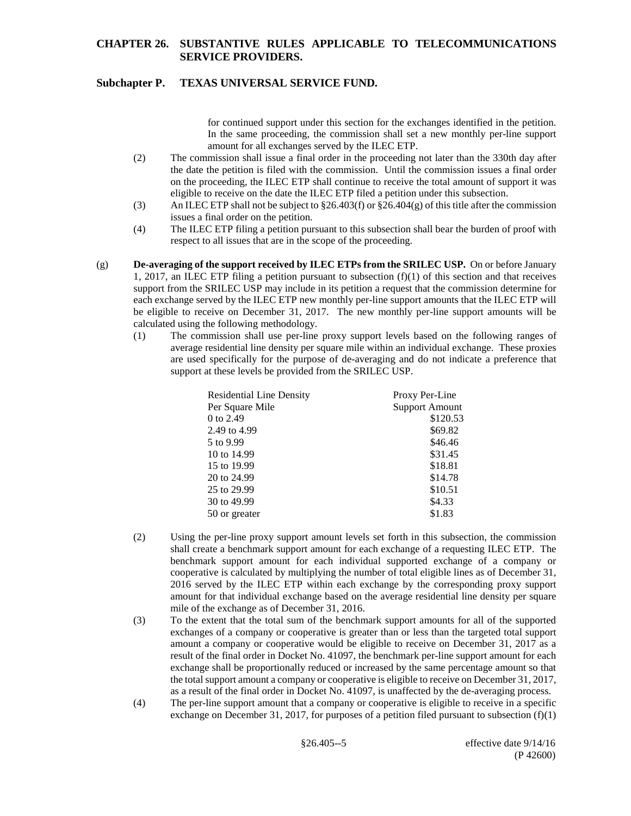# **Subchapter P. TEXAS UNIVERSAL SERVICE FUND.**

for continued support under this section for the exchanges identified in the petition. In the same proceeding, the commission shall set a new monthly per-line support amount for all exchanges served by the ILEC ETP.

- (2) The commission shall issue a final order in the proceeding not later than the 330th day after the date the petition is filed with the commission. Until the commission issues a final order on the proceeding, the ILEC ETP shall continue to receive the total amount of support it was eligible to receive on the date the ILEC ETP filed a petition under this subsection.
- (3) An ILEC ETP shall not be subject to  $\S26.403(f)$  or  $\S26.404(g)$  of this title after the commission issues a final order on the petition.
- (4) The ILEC ETP filing a petition pursuant to this subsection shall bear the burden of proof with respect to all issues that are in the scope of the proceeding.
- (g) **De-averaging of the support received by ILEC ETPs from the SRILEC USP.** On or before January 1, 2017, an ILEC ETP filing a petition pursuant to subsection (f)(1) of this section and that receives support from the SRILEC USP may include in its petition a request that the commission determine for each exchange served by the ILEC ETP new monthly per-line support amounts that the ILEC ETP will be eligible to receive on December 31, 2017. The new monthly per-line support amounts will be calculated using the following methodology.
	- (1) The commission shall use per-line proxy support levels based on the following ranges of average residential line density per square mile within an individual exchange. These proxies are used specifically for the purpose of de-averaging and do not indicate a preference that support at these levels be provided from the SRILEC USP.

| <b>Residential Line Density</b> | Proxy Per-Line        |
|---------------------------------|-----------------------|
| Per Square Mile                 | <b>Support Amount</b> |
| 0 to 2.49                       | \$120.53              |
| 2.49 to 4.99                    | \$69.82               |
| 5 to 9.99                       | \$46.46               |
| 10 to 14.99                     | \$31.45               |
| 15 to 19.99                     | \$18.81               |
| 20 to 24.99                     | \$14.78               |
| 25 to 29.99                     | \$10.51               |
| 30 to 49.99                     | \$4.33                |
| 50 or greater                   | \$1.83                |

- (2) Using the per-line proxy support amount levels set forth in this subsection, the commission shall create a benchmark support amount for each exchange of a requesting ILEC ETP. The benchmark support amount for each individual supported exchange of a company or cooperative is calculated by multiplying the number of total eligible lines as of December 31, 2016 served by the ILEC ETP within each exchange by the corresponding proxy support amount for that individual exchange based on the average residential line density per square mile of the exchange as of December 31, 2016.
- (3) To the extent that the total sum of the benchmark support amounts for all of the supported exchanges of a company or cooperative is greater than or less than the targeted total support amount a company or cooperative would be eligible to receive on December 31, 2017 as a result of the final order in Docket No. 41097, the benchmark per-line support amount for each exchange shall be proportionally reduced or increased by the same percentage amount so that the total support amount a company or cooperative is eligible to receive on December 31, 2017, as a result of the final order in Docket No. 41097, is unaffected by the de-averaging process.
- (4) The per-line support amount that a company or cooperative is eligible to receive in a specific exchange on December 31, 2017, for purposes of a petition filed pursuant to subsection  $(f)(1)$